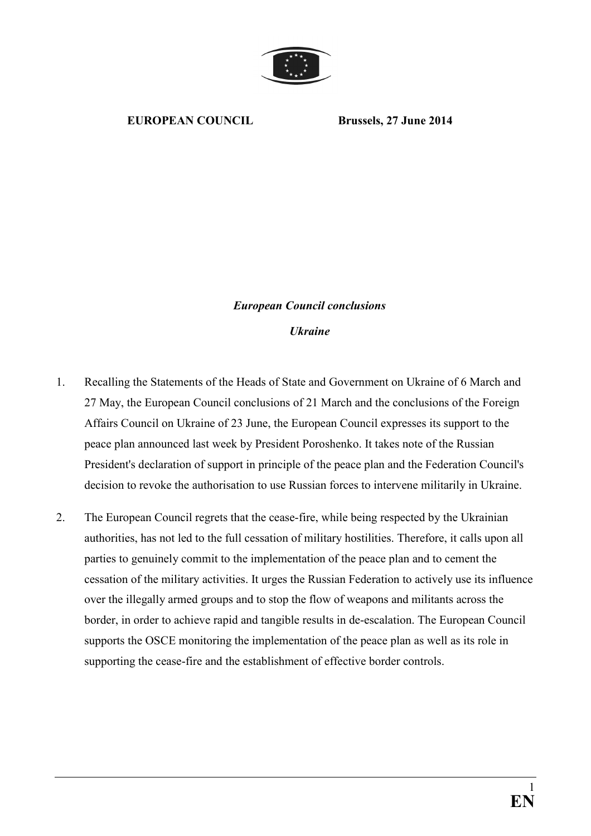

## **EUROPEAN COUNCIL Brussels, 27 June 2014**

## *European Council conclusions Ukraine*

- 1. Recalling the Statements of the Heads of State and Government on Ukraine of 6 March and 27 May, the European Council conclusions of 21 March and the conclusions of the Foreign Affairs Council on Ukraine of 23 June, the European Council expresses its support to the peace plan announced last week by President Poroshenko. It takes note of the Russian President's declaration of support in principle of the peace plan and the Federation Council's decision to revoke the authorisation to use Russian forces to intervene militarily in Ukraine.
- 2. The European Council regrets that the cease-fire, while being respected by the Ukrainian authorities, has not led to the full cessation of military hostilities. Therefore, it calls upon all parties to genuinely commit to the implementation of the peace plan and to cement the cessation of the military activities. It urges the Russian Federation to actively use its influence over the illegally armed groups and to stop the flow of weapons and militants across the border, in order to achieve rapid and tangible results in de-escalation. The European Council supports the OSCE monitoring the implementation of the peace plan as well as its role in supporting the cease-fire and the establishment of effective border controls.